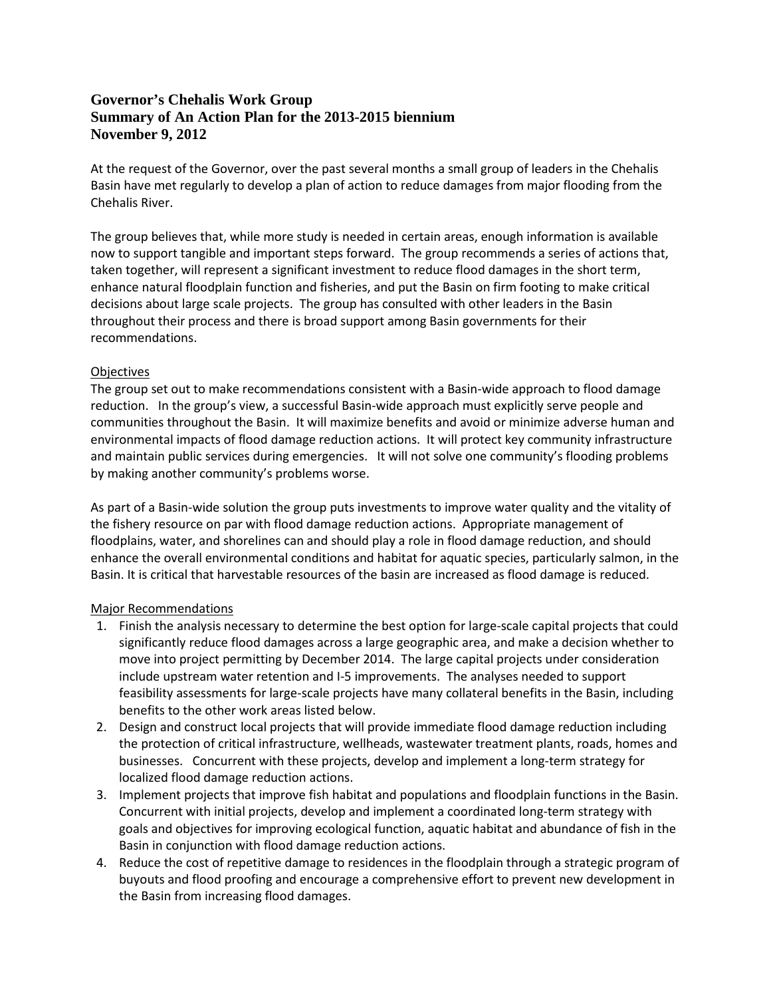## **Governor's Chehalis Work Group Summary of An Action Plan for the 2013-2015 biennium November 9, 2012**

At the request of the Governor, over the past several months a small group of leaders in the Chehalis Basin have met regularly to develop a plan of action to reduce damages from major flooding from the Chehalis River.

The group believes that, while more study is needed in certain areas, enough information is available now to support tangible and important steps forward. The group recommends a series of actions that, taken together, will represent a significant investment to reduce flood damages in the short term, enhance natural floodplain function and fisheries, and put the Basin on firm footing to make critical decisions about large scale projects. The group has consulted with other leaders in the Basin throughout their process and there is broad support among Basin governments for their recommendations.

## **Objectives**

The group set out to make recommendations consistent with a Basin-wide approach to flood damage reduction. In the group's view, a successful Basin-wide approach must explicitly serve people and communities throughout the Basin. It will maximize benefits and avoid or minimize adverse human and environmental impacts of flood damage reduction actions. It will protect key community infrastructure and maintain public services during emergencies. It will not solve one community's flooding problems by making another community's problems worse.

As part of a Basin-wide solution the group puts investments to improve water quality and the vitality of the fishery resource on par with flood damage reduction actions. Appropriate management of floodplains, water, and shorelines can and should play a role in flood damage reduction, and should enhance the overall environmental conditions and habitat for aquatic species, particularly salmon, in the Basin. It is critical that harvestable resources of the basin are increased as flood damage is reduced.

## Major Recommendations

- 1. Finish the analysis necessary to determine the best option for large-scale capital projects that could significantly reduce flood damages across a large geographic area, and make a decision whether to move into project permitting by December 2014. The large capital projects under consideration include upstream water retention and I-5 improvements. The analyses needed to support feasibility assessments for large-scale projects have many collateral benefits in the Basin, including benefits to the other work areas listed below.
- 2. Design and construct local projects that will provide immediate flood damage reduction including the protection of critical infrastructure, wellheads, wastewater treatment plants, roads, homes and businesses. Concurrent with these projects, develop and implement a long-term strategy for localized flood damage reduction actions.
- 3. Implement projects that improve fish habitat and populations and floodplain functions in the Basin. Concurrent with initial projects, develop and implement a coordinated long-term strategy with goals and objectives for improving ecological function, aquatic habitat and abundance of fish in the Basin in conjunction with flood damage reduction actions.
- 4. Reduce the cost of repetitive damage to residences in the floodplain through a strategic program of buyouts and flood proofing and encourage a comprehensive effort to prevent new development in the Basin from increasing flood damages.